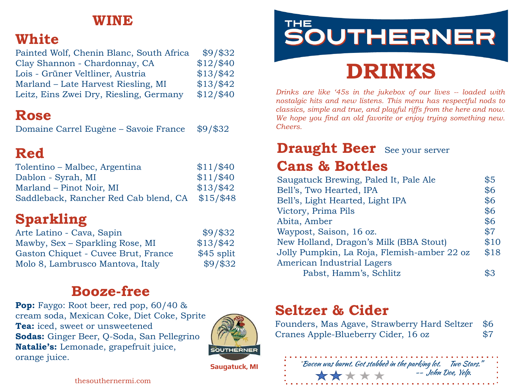#### **WINE**

### **White**

| Painted Wolf, Chenin Blanc, South Africa | $$9/$ \$32 |
|------------------------------------------|------------|
| Clay Shannon - Chardonnay, CA            | \$12/\$40  |
| Lois - Grüner Veltliner, Austria         | \$13/\$42  |
| Marland – Late Harvest Riesling, MI      | \$13/\$42  |
| Leitz, Eins Zwei Dry, Riesling, Germany  | \$12/\$40  |

### **Rose**

Domaine Carrel Eugène – Savoie France \$9/\$32

## **Red**

| Tolentino – Malbec, Argentina         | \$11/\$40  |
|---------------------------------------|------------|
| Dablon - Syrah, MI                    | \$11/\$40  |
| Marland – Pinot Noir, MI              | \$13/\$42  |
| Saddleback, Rancher Red Cab blend, CA | $$15/\$48$ |

# **Sparkling**

| Arte Latino - Cava, Sapin           | $$9/$ \$32  |
|-------------------------------------|-------------|
| Mawby, Sex – Sparkling Rose, MI     | \$13/\$42   |
| Gaston Chiquet - Cuvee Brut, France | $$45$ split |
| Molo 8, Lambrusco Mantova, Italy    | $$9/$ \$32  |

### **Booze-free**

**Pop:** Faygo: Root beer, red pop, 60/40 & cream soda, Mexican Coke, Diet Coke, Sprite **Tea:** iced, sweet or unsweetened **Sodas:** Ginger Beer, Q-Soda, San Pellegrino **Natalie's:** Lemonade, grapefruit juice, orange juice.



THE SOUTHERNER

# **DRINKS**

*Drinks are like '45s in the jukebox of our lives -- loaded with nostalgic hits and new listens. This menu has respectful nods to classics, simple and true, and playful riffs from the here and now. We hope you find an old favorite or enjoy trying something new. Cheers.* 

# **Draught Beer** See your server

### **Cans & Bottles**

| Saugatuck Brewing, Paled It, Pale Ale       | \$5  |
|---------------------------------------------|------|
| Bell's, Two Hearted, IPA                    | \$6  |
| Bell's, Light Hearted, Light IPA            | \$6  |
| Victory, Prima Pils                         | \$6  |
| Abita, Amber                                | \$6  |
| Waypost, Saison, 16 oz.                     | \$7  |
| New Holland, Dragon's Milk (BBA Stout)      | \$10 |
| Jolly Pumpkin, La Roja, Flemish-amber 22 oz | \$18 |
| American Industrial Lagers                  |      |
| Pabst, Hamm's, Schlitz                      |      |
|                                             |      |

### **Seltzer & Cider**

Founders, Mas Agave, Strawberry Hard Seltzer \$6<br>Cranes Apple-Blueberry Cider. 16 oz \$7 Cranes Apple-Blueberry Cider, 16 oz \$7



thesouthernermi.com